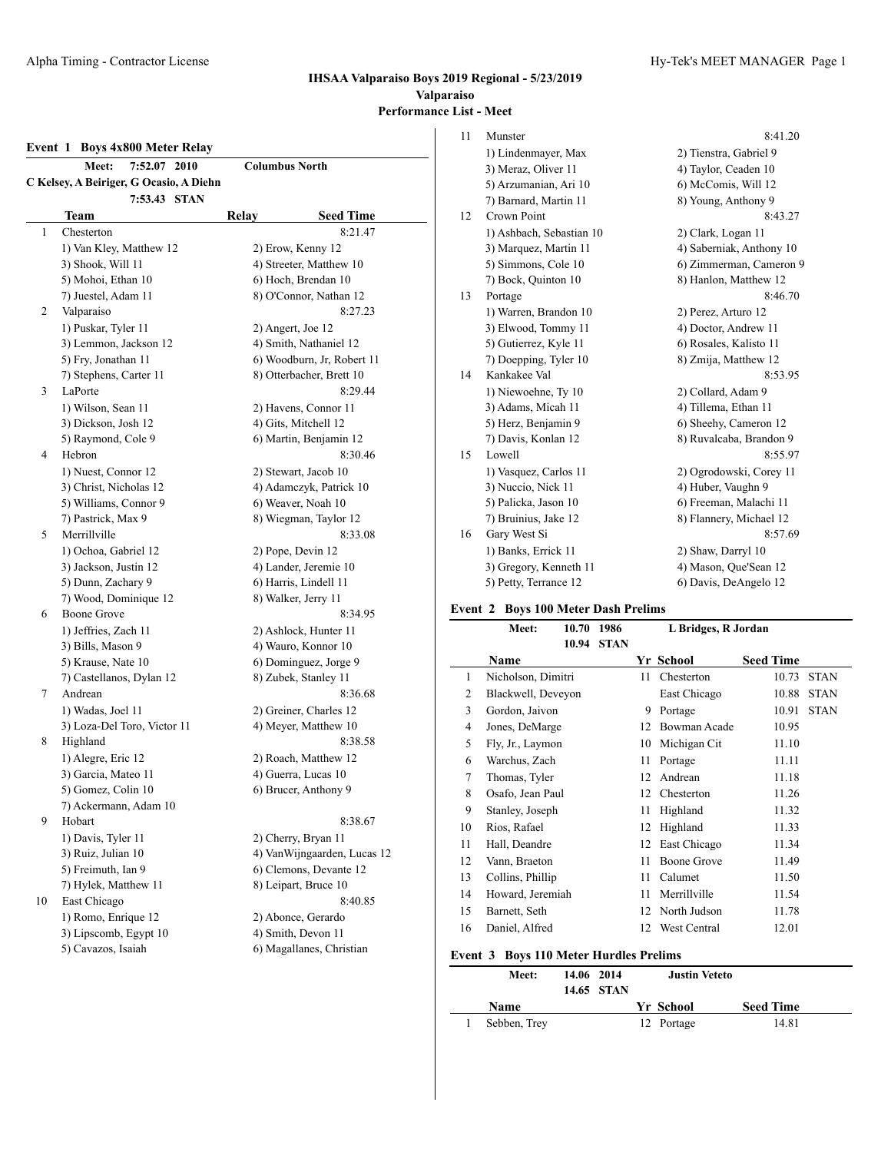# **Event 1 Boys 4x800 Meter Relay**

| <b>Columbus North</b><br>7:52.07<br><b>Meet:</b><br>2010 |                                         |                              |  |  |
|----------------------------------------------------------|-----------------------------------------|------------------------------|--|--|
|                                                          | C Kelsey, A Beiriger, G Ocasio, A Diehn |                              |  |  |
|                                                          | 7:53.43<br><b>STAN</b>                  |                              |  |  |
|                                                          | Team                                    | Relay<br><b>Seed Time</b>    |  |  |
| 1                                                        | Chesterton                              | 8:21.47                      |  |  |
|                                                          | 1) Van Kley, Matthew 12                 | 2) Erow, Kenny 12            |  |  |
|                                                          | 3) Shook, Will 11                       | 4) Streeter, Matthew 10      |  |  |
|                                                          | 5) Mohoi, Ethan 10                      | 6) Hoch, Brendan 10          |  |  |
|                                                          | 7) Juestel, Adam 11                     | 8) O'Connor, Nathan 12       |  |  |
| 2                                                        | Valparaiso                              | 8:27.23                      |  |  |
|                                                          | 1) Puskar, Tyler 11                     | 2) Angert, Joe 12            |  |  |
|                                                          | 3) Lemmon, Jackson 12                   | 4) Smith, Nathaniel 12       |  |  |
|                                                          | 5) Fry, Jonathan 11                     | 6) Woodburn, Jr, Robert 11   |  |  |
|                                                          | 7) Stephens, Carter 11                  | 8) Otterbacher, Brett 10     |  |  |
| 3                                                        | LaPorte                                 | 8:29.44                      |  |  |
|                                                          | 1) Wilson, Sean 11                      | 2) Havens, Connor 11         |  |  |
|                                                          | 3) Dickson, Josh 12                     | 4) Gits, Mitchell 12         |  |  |
|                                                          | 5) Raymond, Cole 9                      | 6) Martin, Benjamin 12       |  |  |
| 4                                                        | Hebron                                  | 8:30.46                      |  |  |
|                                                          | 1) Nuest, Connor 12                     | 2) Stewart, Jacob 10         |  |  |
|                                                          | 3) Christ, Nicholas 12                  | 4) Adamczyk, Patrick 10      |  |  |
|                                                          | 5) Williams, Connor 9                   | 6) Weaver, Noah 10           |  |  |
|                                                          | 7) Pastrick, Max 9                      | 8) Wiegman, Taylor 12        |  |  |
| 5                                                        | Merrillville                            | 8:33.08                      |  |  |
|                                                          | 1) Ochoa, Gabriel 12                    | 2) Pope, Devin 12            |  |  |
|                                                          | 3) Jackson, Justin 12                   | 4) Lander, Jeremie 10        |  |  |
|                                                          | 5) Dunn, Zachary 9                      | 6) Harris, Lindell 11        |  |  |
|                                                          | 7) Wood, Dominique 12                   | 8) Walker, Jerry 11          |  |  |
| 6                                                        | <b>Boone Grove</b>                      | 8:34.95                      |  |  |
|                                                          | 1) Jeffries, Zach 11                    | 2) Ashlock, Hunter 11        |  |  |
|                                                          | 3) Bills, Mason 9                       | 4) Wauro, Konnor 10          |  |  |
|                                                          | 5) Krause, Nate 10                      | 6) Dominguez, Jorge 9        |  |  |
|                                                          | 7) Castellanos, Dylan 12                | 8) Zubek, Stanley 11         |  |  |
| 7                                                        | Andrean                                 | 8:36.68                      |  |  |
|                                                          | 1) Wadas, Joel 11                       | 2) Greiner, Charles 12       |  |  |
|                                                          | 3) Loza-Del Toro, Victor 11             | 4) Meyer, Matthew 10         |  |  |
| 8                                                        | Highland                                | 8:38.58                      |  |  |
|                                                          | 1) Alegre, Eric 12                      | 2) Roach, Matthew 12         |  |  |
|                                                          | 3) Garcia, Mateo 11                     | 4) Guerra, Lucas 10          |  |  |
|                                                          | 5) Gomez, Colin 10                      | 6) Brucer, Anthony 9         |  |  |
|                                                          | 7) Ackermann, Adam 10                   |                              |  |  |
| 9                                                        | Hobart                                  | 8:38.67                      |  |  |
|                                                          | 1) Davis, Tyler 11                      | 2) Cherry, Bryan 11          |  |  |
|                                                          | 3) Ruiz, Julian 10                      | 4) Van Wijngaarden, Lucas 12 |  |  |
|                                                          | 5) Freimuth, Ian 9                      | 6) Clemons, Devante 12       |  |  |
|                                                          | 7) Hylek, Matthew 11                    | 8) Leipart, Bruce 10         |  |  |
| 10                                                       | East Chicago                            | 8:40.85                      |  |  |
|                                                          | 1) Romo, Enrique 12                     | 2) Abonce, Gerardo           |  |  |
|                                                          | 3) Lipscomb, Egypt 10                   | 4) Smith, Devon 11           |  |  |
|                                                          | 5) Cavazos, Isaiah                      | 6) Magallanes, Christian     |  |  |

|    | ist - Meet               |                          |
|----|--------------------------|--------------------------|
| 11 | Munster                  | 8:41.20                  |
|    | 1) Lindenmayer, Max      | 2) Tienstra, Gabriel 9   |
|    | 3) Meraz, Oliver 11      | 4) Taylor, Ceaden 10     |
|    | 5) Arzumanian, Ari 10    | 6) McComis, Will 12      |
|    | 7) Barnard, Martin 11    | 8) Young, Anthony 9      |
| 12 | Crown Point              | 8:43.27                  |
|    | 1) Ashbach, Sebastian 10 | 2) Clark, Logan 11       |
|    | 3) Marquez, Martin 11    | 4) Saberniak, Anthony 10 |
|    | 5) Simmons, Cole 10      | 6) Zimmerman, Cameron 9  |

|    | 7) Bock, Quinton 10    | 8) Hanlon, Matthew 12   |
|----|------------------------|-------------------------|
| 13 | Portage                | 8:46.70                 |
|    | 1) Warren, Brandon 10  | 2) Perez, Arturo 12     |
|    | 3) Elwood, Tommy 11    | 4) Doctor, Andrew 11    |
|    | 5) Gutierrez, Kyle 11  | 6) Rosales, Kalisto 11  |
|    | 7) Doepping, Tyler 10  | 8) Zmija, Matthew 12    |
| 14 | Kankakee Val           | 8:53.95                 |
|    | 1) Niewoehne, Ty 10    | 2) Collard, Adam 9      |
|    | 3) Adams, Micah 11     | 4) Tillema, Ethan 11    |
|    | 5) Herz, Benjamin 9    | 6) Sheehy, Cameron 12   |
|    | 7) Davis, Konlan 12    | 8) Ruvalcaba, Brandon 9 |
| 15 | Lowell                 | 8:55.97                 |
|    | 1) Vasquez, Carlos 11  | 2) Ogrodowski, Corey 11 |
|    | 3) Nuccio, Nick 11     | 4) Huber, Vaughn 9      |
|    | 5) Palicka, Jason 10   | 6) Freeman, Malachi 11  |
|    | 7) Bruinius, Jake 12   | 8) Flannery, Michael 12 |
| 16 | Gary West Si           | 8:57.69                 |
|    | 1) Banks, Errick 11    | 2) Shaw, Darryl 10      |
|    | 3) Gregory, Kenneth 11 | 4) Mason, Que'Sean 12   |
|    | 5) Petty, Terrance 12  | 6) Davis, DeAngelo 12   |
|    |                        |                         |

### **Event 2 Boys 100 Meter Dash Prelims**

|    | Meet:              | 10.70 | 1986        | L Bridges, R Jordan |              |                  |             |
|----|--------------------|-------|-------------|---------------------|--------------|------------------|-------------|
|    |                    | 10.94 | <b>STAN</b> |                     |              |                  |             |
|    | <b>Name</b>        |       |             |                     | Yr School    | <b>Seed Time</b> |             |
| 1  | Nicholson, Dimitri |       |             | 11                  | Chesterton   | 10.73            | <b>STAN</b> |
| 2  | Blackwell, Deveyon |       |             |                     | East Chicago | 10.88            | <b>STAN</b> |
| 3  | Gordon, Jaivon     |       |             | 9                   | Portage      | 10.91            | <b>STAN</b> |
| 4  | Jones, DeMarge     |       |             | 12                  | Bowman Acade | 10.95            |             |
| 5  | Fly, Jr., Laymon   |       |             | 10                  | Michigan Cit | 11.10            |             |
| 6  | Warchus, Zach      |       |             | 11                  | Portage      | 11.11            |             |
| 7  | Thomas, Tyler      |       |             | 12                  | Andrean      | 11.18            |             |
| 8  | Osafo, Jean Paul   |       |             | 12                  | Chesterton   | 11.26            |             |
| 9  | Stanley, Joseph    |       |             | 11                  | Highland     | 11.32            |             |
| 10 | Rios, Rafael       |       |             | 12                  | Highland     | 11.33            |             |
| 11 | Hall, Deandre      |       |             | 12                  | East Chicago | 11.34            |             |
| 12 | Vann, Braeton      |       |             | 11                  | Boone Grove  | 11.49            |             |
| 13 | Collins, Phillip   |       |             | 11                  | Calumet      | 11.50            |             |
| 14 | Howard, Jeremiah   |       |             | 11                  | Merrillville | 11.54            |             |
| 15 | Barnett, Seth      |       |             | 12                  | North Judson | 11.78            |             |
| 16 | Daniel, Alfred     |       |             | 12                  | West Central | 12.01            |             |

# **Event 3 Boys 110 Meter Hurdles Prelims**

 $\overline{\phantom{a}}$ 

| Meet:        | 14.06 2014 | 14.65 STAN | <b>Justin Veteto</b> |                  |
|--------------|------------|------------|----------------------|------------------|
| Name         |            |            | Yr School            | <b>Seed Time</b> |
| Sebben, Trey |            |            | 12 Portage           | 14.81            |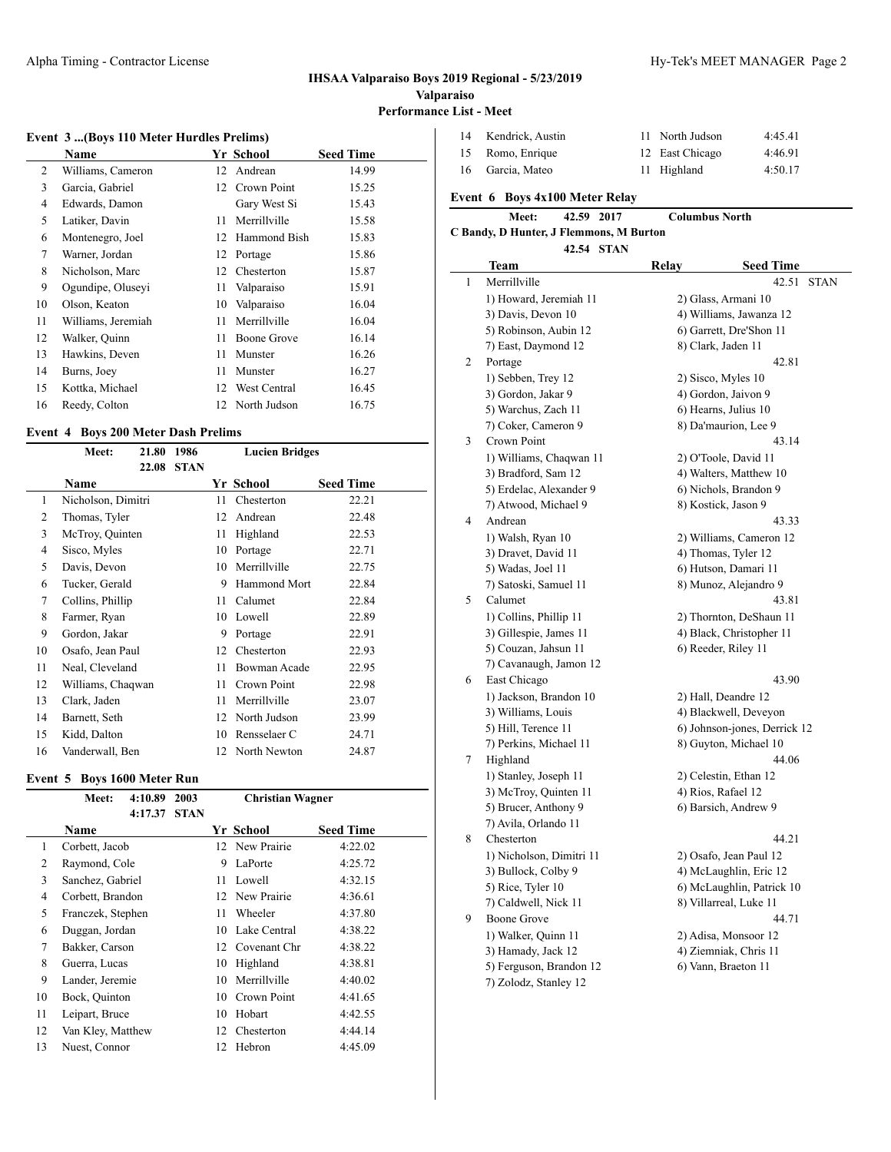### **Event 3 ...(Boys 110 Meter Hurdles Prelims)**

|    | Name               |    | Yr School      | <b>Seed Time</b> |
|----|--------------------|----|----------------|------------------|
| 2  | Williams, Cameron  | 12 | Andrean        | 14.99            |
| 3  | Garcia, Gabriel    |    | 12 Crown Point | 15.25            |
| 4  | Edwards, Damon     |    | Gary West Si   | 15.43            |
| 5  | Latiker, Davin     | 11 | Merrillville   | 15.58            |
| 6  | Montenegro, Joel   | 12 | Hammond Bish   | 15.83            |
| 7  | Warner, Jordan     | 12 | Portage        | 15.86            |
| 8  | Nicholson, Marc    | 12 | Chesterton     | 15.87            |
| 9  | Ogundipe, Oluseyi  | 11 | Valparaiso     | 15.91            |
| 10 | Olson, Keaton      | 10 | Valparaiso     | 16.04            |
| 11 | Williams, Jeremiah | 11 | Merrillville   | 16.04            |
| 12 | Walker, Quinn      | 11 | Boone Grove    | 16.14            |
| 13 | Hawkins, Deven     | 11 | Munster        | 16.26            |
| 14 | Burns, Joey        | 11 | Munster        | 16.27            |
| 15 | Kottka, Michael    | 12 | West Central   | 16.45            |
| 16 | Reedy, Colton      | 12 | North Judson   | 16.75            |

# **Event 4 Boys 200 Meter Dash Prelims**

|    | Meet:              | 21.80 | 1986        | <b>Lucien Bridges</b> |                     |                  |  |
|----|--------------------|-------|-------------|-----------------------|---------------------|------------------|--|
|    |                    | 22.08 | <b>STAN</b> |                       |                     |                  |  |
|    | Name               |       |             |                       | Yr School           | <b>Seed Time</b> |  |
| 1  | Nicholson, Dimitri |       |             | 11                    | Chesterton          | 22.21            |  |
| 2  | Thomas, Tyler      |       |             | 12                    | Andrean             | 22.48            |  |
| 3  | McTroy, Quinten    |       |             | 11                    | Highland            | 22.53            |  |
| 4  | Sisco, Myles       |       |             | 10                    | Portage             | 22.71            |  |
| 5  | Davis, Devon       |       |             | 10                    | Merrillville        | 22.75            |  |
| 6  | Tucker, Gerald     |       |             | 9                     | <b>Hammond Mort</b> | 22.84            |  |
| 7  | Collins, Phillip   |       |             | 11                    | Calumet             | 22.84            |  |
| 8  | Farmer, Ryan       |       |             | 10                    | Lowell              | 22.89            |  |
| 9  | Gordon, Jakar      |       |             | 9                     | Portage             | 22.91            |  |
| 10 | Osafo, Jean Paul   |       |             | 12                    | Chesterton          | 22.93            |  |
| 11 | Neal, Cleveland    |       |             | 11                    | Bowman Acade        | 22.95            |  |
| 12 | Williams, Chaqwan  |       |             | 11                    | Crown Point         | 22.98            |  |
| 13 | Clark, Jaden       |       |             | 11                    | Merrillville        | 23.07            |  |
| 14 | Barnett, Seth      |       |             | 12                    | North Judson        | 23.99            |  |
| 15 | Kidd, Dalton       |       |             | 10                    | Rensselaer C        | 24.71            |  |
| 16 | Vanderwall, Ben    |       |             | 12                    | North Newton        | 24.87            |  |

### **Event 5 Boys 1600 Meter Run**

|    | Meet:             | 4:10.89 | 2003        |    | <b>Christian Wagner</b> |                  |  |
|----|-------------------|---------|-------------|----|-------------------------|------------------|--|
|    |                   | 4:17.37 | <b>STAN</b> |    |                         |                  |  |
|    | Name              |         |             |    | Yr School               | <b>Seed Time</b> |  |
| 1  | Corbett, Jacob    |         |             |    | 12 New Prairie          | 4:22.02          |  |
| 2  | Raymond, Cole     |         |             | 9  | LaPorte                 | 4:25.72          |  |
| 3  | Sanchez, Gabriel  |         |             | 11 | Lowell                  | 4:32.15          |  |
| 4  | Corbett, Brandon  |         |             |    | 12 New Prairie          | 4:36.61          |  |
| 5  | Franczek, Stephen |         |             | 11 | Wheeler                 | 4:37.80          |  |
| 6  | Duggan, Jordan    |         |             | 10 | Lake Central            | 4:38.22          |  |
| 7  | Bakker, Carson    |         |             | 12 | Covenant Chr            | 4:38.22          |  |
| 8  | Guerra, Lucas     |         |             | 10 | Highland                | 4:38.81          |  |
| 9  | Lander, Jeremie   |         |             | 10 | Merrillville            | 4:40.02          |  |
| 10 | Bock, Quinton     |         |             | 10 | Crown Point             | 4:41.65          |  |
| 11 | Leipart, Bruce    |         |             | 10 | Hobart                  | 4:42.55          |  |
| 12 | Van Kley, Matthew |         |             |    | 12 Chesterton           | 4:44.14          |  |
| 13 | Nuest, Connor     |         |             | 12 | Hebron                  | 4:45.09          |  |
|    |                   |         |             |    |                         |                  |  |

| 14 | Kendrick, Austin | 11 North Judson | 4:45.41 |
|----|------------------|-----------------|---------|
|    | 15 Romo, Enrique | 12 East Chicago | 4:46.91 |
|    | 16 Garcia, Mateo | 11 Highland     | 4:50.17 |

# **Event 6 Boys 4x100 Meter Relay**

| <b>Meet:</b>                            | 42.59 2017 |            |       | <b>Columbus North</b> |  |  |  |
|-----------------------------------------|------------|------------|-------|-----------------------|--|--|--|
| C Bandy, D Hunter, J Flemmons, M Burton |            |            |       |                       |  |  |  |
|                                         |            | 42.54 STAN |       |                       |  |  |  |
| Team                                    |            |            | Relav | <b>Seed Time</b>      |  |  |  |

|   | тсаш                     | ілсіа у                | $secu$ $1$ $mnc$             |      |
|---|--------------------------|------------------------|------------------------------|------|
| 1 | Merrillville             |                        | 42.51                        | STAN |
|   | 1) Howard, Jeremiah 11   | 2) Glass, Armani 10    |                              |      |
|   | 3) Davis, Devon 10       |                        | 4) Williams, Jawanza 12      |      |
|   | 5) Robinson, Aubin 12    |                        | 6) Garrett, Dre'Shon 11      |      |
|   | 7) East, Daymond 12      | 8) Clark, Jaden 11     |                              |      |
| 2 | Portage                  |                        | 42.81                        |      |
|   | 1) Sebben, Trey 12       | 2) Sisco, Myles 10     |                              |      |
|   | 3) Gordon, Jakar 9       | 4) Gordon, Jaivon 9    |                              |      |
|   | 5) Warchus, Zach 11      | 6) Hearns, Julius 10   |                              |      |
|   | 7) Coker, Cameron 9      | 8) Da'maurion, Lee 9   |                              |      |
| 3 | Crown Point              |                        | 43.14                        |      |
|   | 1) Williams, Chaqwan 11  | 2) O'Toole, David 11   |                              |      |
|   | 3) Bradford, Sam 12      |                        | 4) Walters, Matthew 10       |      |
|   | 5) Erdelac, Alexander 9  | 6) Nichols, Brandon 9  |                              |      |
|   | 7) Atwood, Michael 9     | 8) Kostick, Jason 9    |                              |      |
| 4 | Andrean                  |                        | 43.33                        |      |
|   | 1) Walsh, Ryan 10        |                        | 2) Williams, Cameron 12      |      |
|   | 3) Dravet, David 11      | 4) Thomas, Tyler 12    |                              |      |
|   | 5) Wadas, Joel 11        | 6) Hutson, Damari 11   |                              |      |
|   | 7) Satoski, Samuel 11    |                        | 8) Munoz, Alejandro 9        |      |
| 5 | Calumet                  |                        | 43.81                        |      |
|   | 1) Collins, Phillip 11   |                        | 2) Thornton, DeShaun 11      |      |
|   | 3) Gillespie, James 11   |                        | 4) Black, Christopher 11     |      |
|   | 5) Couzan, Jahsun 11     | 6) Reeder, Riley 11    |                              |      |
|   | 7) Cavanaugh, Jamon 12   |                        |                              |      |
| 6 | East Chicago             |                        | 43.90                        |      |
|   | 1) Jackson, Brandon 10   | 2) Hall, Deandre 12    |                              |      |
|   | 3) Williams, Louis       |                        | 4) Blackwell, Deveyon        |      |
|   | 5) Hill, Terence 11      |                        | 6) Johnson-jones, Derrick 12 |      |
|   | 7) Perkins, Michael 11   |                        | 8) Guyton, Michael 10        |      |
| 7 | Highland                 |                        | 44.06                        |      |
|   | 1) Stanley, Joseph 11    | 2) Celestin, Ethan 12  |                              |      |
|   | 3) McTroy, Quinten 11    | 4) Rios, Rafael 12     |                              |      |
|   | 5) Brucer, Anthony 9     | 6) Barsich, Andrew 9   |                              |      |
|   | 7) Avila, Orlando 11     |                        |                              |      |
| 8 | Chesterton               |                        | 44.21                        |      |
|   | 1) Nicholson, Dimitri 11 | 2) Osafo, Jean Paul 12 |                              |      |
|   | 3) Bullock, Colby 9      |                        | 4) McLaughlin, Eric 12       |      |
|   | 5) Rice, Tyler 10        |                        | 6) McLaughlin, Patrick 10    |      |
|   | 7) Caldwell, Nick 11     | 8) Villarreal, Luke 11 |                              |      |
| 9 | <b>Boone Grove</b>       |                        | 44.71                        |      |
|   | 1) Walker, Quinn 11      | 2) Adisa, Monsoor 12   |                              |      |
|   | 3) Hamady, Jack 12       | 4) Ziemniak, Chris 11  |                              |      |
|   | 5) Ferguson, Brandon 12  | 6) Vann, Braeton 11    |                              |      |
|   | 7) Zolodz, Stanley 12    |                        |                              |      |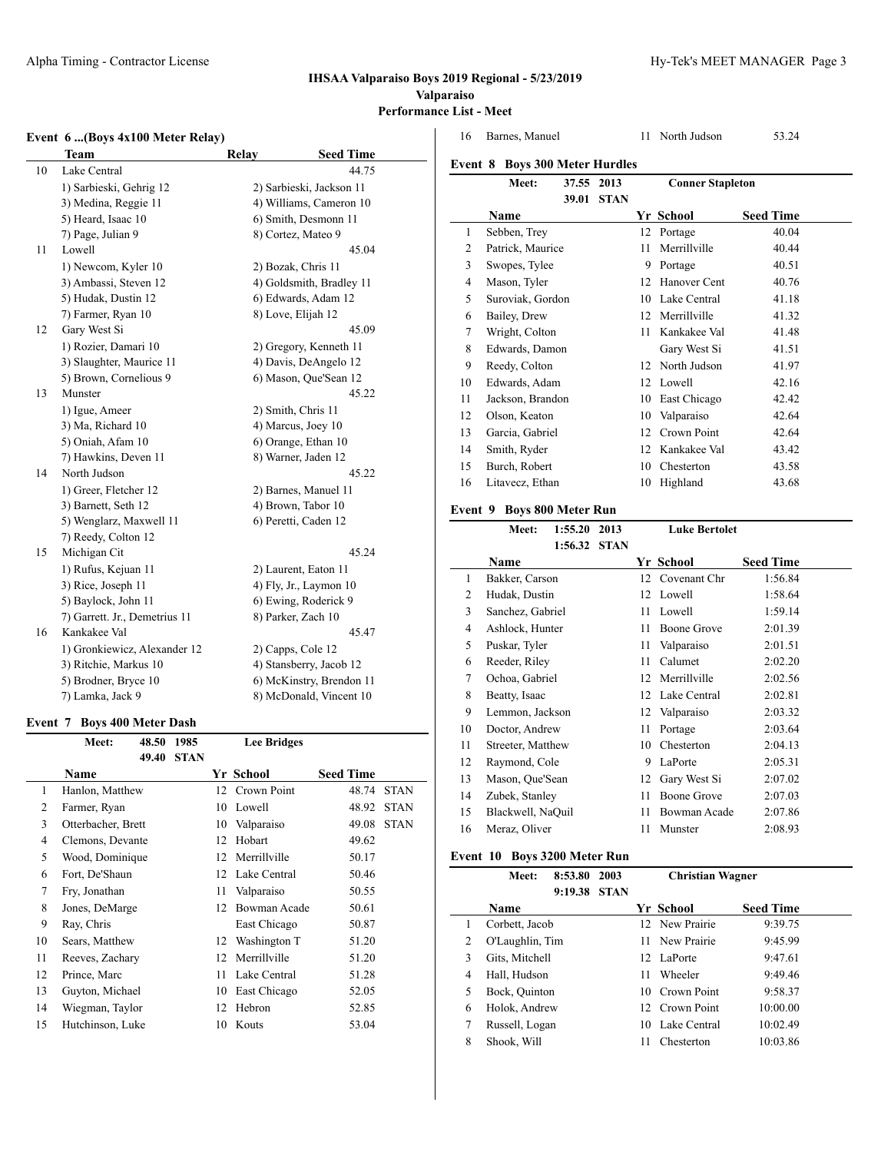### Alpha Timing - Contractor License **Hy-Tek's MEET MANAGER** Page 3

### **IHSAA Valparaiso Boys 2019 Regional - 5/23/2019 Valparaiso Performance List - Meet**

# **Event 6 ...(Boys 4x100 Meter Relay)**

|    | $\sim$ $\sim$ $\sim$ $\sim$ $\sim$ $\sim$ $\sim$<br><b>Team</b> | Relay                | <b>Seed Time</b>         |
|----|-----------------------------------------------------------------|----------------------|--------------------------|
| 10 | Lake Central                                                    |                      | 44.75                    |
|    | 1) Sarbieski, Gehrig 12                                         |                      | 2) Sarbieski, Jackson 11 |
|    | 3) Medina, Reggie 11                                            |                      | 4) Williams, Cameron 10  |
|    | 5) Heard, Isaac 10                                              |                      | 6) Smith, Desmonn 11     |
|    | 7) Page, Julian 9                                               | 8) Cortez, Mateo 9   |                          |
| 11 | Lowell                                                          |                      | 45.04                    |
|    | 1) Newcom, Kyler 10                                             | 2) Bozak, Chris 11   |                          |
|    | 3) Ambassi, Steven 12                                           |                      | 4) Goldsmith, Bradley 11 |
|    | 5) Hudak, Dustin 12                                             |                      | 6) Edwards, Adam 12      |
|    | 7) Farmer, Ryan 10                                              | 8) Love, Elijah 12   |                          |
| 12 | Gary West Si                                                    |                      | 45.09                    |
|    | 1) Rozier, Damari 10                                            |                      | 2) Gregory, Kenneth 11   |
|    | 3) Slaughter, Maurice 11                                        |                      | 4) Davis, DeAngelo 12    |
|    | 5) Brown, Cornelious 9                                          |                      | 6) Mason, Que'Sean 12    |
| 13 | Munster                                                         |                      | 45.22                    |
|    | 1) Igue, Ameer                                                  | 2) Smith, Chris 11   |                          |
|    | 3) Ma, Richard 10                                               | 4) Marcus, Joey 10   |                          |
|    | 5) Oniah, Afam 10                                               | 6) Orange, Ethan 10  |                          |
|    | 7) Hawkins, Deven 11                                            | 8) Warner, Jaden 12  |                          |
| 14 | North Judson                                                    |                      | 45.22                    |
|    | 1) Greer, Fletcher 12                                           |                      | 2) Barnes, Manuel 11     |
|    | 3) Barnett, Seth 12                                             | 4) Brown, Tabor 10   |                          |
|    | 5) Wenglarz, Maxwell 11                                         | 6) Peretti, Caden 12 |                          |
|    | 7) Reedy, Colton 12                                             |                      |                          |
| 15 | Michigan Cit                                                    |                      | 45.24                    |
|    | 1) Rufus, Kejuan 11                                             | 2) Laurent, Eaton 11 |                          |
|    | 3) Rice, Joseph 11                                              |                      | 4) Fly, Jr., Laymon 10   |
|    | 5) Baylock, John 11                                             |                      | 6) Ewing, Roderick 9     |
|    | 7) Garrett. Jr., Demetrius 11                                   | 8) Parker, Zach 10   |                          |
| 16 | Kankakee Val                                                    |                      | 45.47                    |
|    | 1) Gronkiewicz, Alexander 12                                    | 2) Capps, Cole 12    |                          |
|    | 3) Ritchie, Markus 10                                           |                      | 4) Stansberry, Jacob 12  |
|    | 5) Brodner, Bryce 10                                            |                      | 6) McKinstry, Brendon 11 |
|    | 7) Lamka, Jack 9                                                |                      | 8) McDonald, Vincent 10  |

# **Event 7 Boys 400 Meter Dash**

|                | Meet:              | 48.50 | 1985        |    | <b>Lee Bridges</b> |                  |             |
|----------------|--------------------|-------|-------------|----|--------------------|------------------|-------------|
|                |                    | 49.40 | <b>STAN</b> |    |                    |                  |             |
|                | Name               |       |             |    | Yr School          | <b>Seed Time</b> |             |
| 1              | Hanlon, Matthew    |       |             | 12 | Crown Point        | 48.74            | <b>STAN</b> |
| $\overline{c}$ | Farmer, Ryan       |       |             | 10 | Lowell             | 48.92            | <b>STAN</b> |
| 3              | Otterbacher, Brett |       |             | 10 | Valparaiso         | 49.08            | <b>STAN</b> |
| 4              | Clemons, Devante   |       |             | 12 | Hobart             | 49.62            |             |
| 5              | Wood, Dominique    |       |             | 12 | Merrillville       | 50.17            |             |
| 6              | Fort, De'Shaun     |       |             | 12 | Lake Central       | 50.46            |             |
| 7              | Fry, Jonathan      |       |             | 11 | Valparaiso         | 50.55            |             |
| 8              | Jones, DeMarge     |       |             | 12 | Bowman Acade       | 50.61            |             |
| 9              | Ray, Chris         |       |             |    | East Chicago       | 50.87            |             |
| 10             | Sears, Matthew     |       |             | 12 | Washington T       | 51.20            |             |
| 11             | Reeves, Zachary    |       |             | 12 | Merrillville       | 51.20            |             |
| 12             | Prince, Marc       |       |             | 11 | Lake Central       | 51.28            |             |
| 13             | Guyton, Michael    |       |             | 10 | East Chicago       | 52.05            |             |
| 14             | Wiegman, Taylor    |       |             | 12 | Hebron             | 52.85            |             |
| 15             | Hutchinson, Luke   |       |             | 10 | Kouts              | 53.04            |             |
|                |                    |       |             |    |                    |                  |             |

| 16      | Barnes, Manuel                |            |             | 11 | North Judson            | 53.24            |
|---------|-------------------------------|------------|-------------|----|-------------------------|------------------|
| Event 8 | <b>Boys 300 Meter Hurdles</b> |            |             |    |                         |                  |
|         | Meet:                         | 37.55 2013 |             |    | <b>Conner Stapleton</b> |                  |
|         |                               | 39.01      | <b>STAN</b> |    |                         |                  |
|         | Name                          |            |             |    | Yr School               | <b>Seed Time</b> |
| 1       | Sebben, Trey                  |            |             | 12 | Portage                 | 40.04            |
| 2       | Patrick, Maurice              |            |             | 11 | Merrillville            | 40.44            |
| 3       | Swopes, Tylee                 |            |             | 9  | Portage                 | 40.51            |
| 4       | Mason, Tyler                  |            |             | 12 | Hanover Cent            | 40.76            |
| 5       | Suroviak, Gordon              |            |             | 10 | Lake Central            | 41.18            |
| 6       | Bailey, Drew                  |            |             | 12 | Merrillville            | 41.32            |
| 7       | Wright, Colton                |            |             | 11 | Kankakee Val            | 41.48            |
| 8       | Edwards, Damon                |            |             |    | Gary West Si            | 41.51            |
| 9       | Reedy, Colton                 |            |             | 12 | North Judson            | 41.97            |
| 10      | Edwards, Adam                 |            |             | 12 | Lowell                  | 42.16            |
| 11      | Jackson, Brandon              |            |             | 10 | East Chicago            | 42.42            |
| 12      | Olson, Keaton                 |            |             | 10 | Valparaiso              | 42.64            |
| 13      | Garcia, Gabriel               |            |             | 12 | Crown Point             | 42.64            |
| 14      | Smith, Ryder                  |            |             | 12 | Kankakee Val            | 43.42            |
| 15      | Burch, Robert                 |            |             | 10 | Chesterton              | 43.58            |
| 16      | Litavecz, Ethan               |            |             | 10 | Highland                | 43.68            |
|         |                               |            |             |    |                         |                  |

# **Event 9 Boys 800 Meter Run**

| Meet:         | 1:55.20 | 2013                                                                                                                                                                                                                                                                             |    | <b>Luke Bertolet</b> |                  |
|---------------|---------|----------------------------------------------------------------------------------------------------------------------------------------------------------------------------------------------------------------------------------------------------------------------------------|----|----------------------|------------------|
|               | 1:56.32 | <b>STAN</b>                                                                                                                                                                                                                                                                      |    |                      |                  |
| Name          |         |                                                                                                                                                                                                                                                                                  |    |                      | <b>Seed Time</b> |
|               |         |                                                                                                                                                                                                                                                                                  | 12 | Covenant Chr         | 1:56.84          |
|               |         |                                                                                                                                                                                                                                                                                  | 12 | Lowell               | 1:58.64          |
|               |         |                                                                                                                                                                                                                                                                                  | 11 | Lowell               | 1:59.14          |
|               |         |                                                                                                                                                                                                                                                                                  | 11 | Boone Grove          | 2:01.39          |
|               |         |                                                                                                                                                                                                                                                                                  | 11 | Valparaiso           | 2:01.51          |
|               |         |                                                                                                                                                                                                                                                                                  | 11 | Calumet              | 2:02.20          |
|               |         |                                                                                                                                                                                                                                                                                  | 12 | Merrillville         | 2:02.56          |
| Beatty, Isaac |         |                                                                                                                                                                                                                                                                                  | 12 | Lake Central         | 2:02.81          |
|               |         |                                                                                                                                                                                                                                                                                  | 12 | Valparaiso           | 2:03.32          |
|               |         |                                                                                                                                                                                                                                                                                  | 11 | Portage              | 2:03.64          |
|               |         |                                                                                                                                                                                                                                                                                  | 10 | Chesterton           | 2:04.13          |
|               |         |                                                                                                                                                                                                                                                                                  | 9  | LaPorte              | 2:05.31          |
|               |         |                                                                                                                                                                                                                                                                                  | 12 | Gary West Si         | 2:07.02          |
|               |         |                                                                                                                                                                                                                                                                                  | 11 | Boone Grove          | 2:07.03          |
|               |         |                                                                                                                                                                                                                                                                                  | 11 | Bowman Acade         | 2:07.86          |
|               |         |                                                                                                                                                                                                                                                                                  | 11 | Munster              | 2:08.93          |
|               |         | Bakker, Carson<br>Hudak, Dustin<br>Sanchez, Gabriel<br>Ashlock, Hunter<br>Puskar, Tyler<br>Reeder, Riley<br>Ochoa, Gabriel<br>Lemmon, Jackson<br>Doctor, Andrew<br>Streeter, Matthew<br>Raymond, Cole<br>Mason, Que'Sean<br>Zubek, Stanley<br>Blackwell, NaOuil<br>Meraz, Oliver |    |                      | Yr School        |

# **Event 10 Boys 3200 Meter Run**

|   | Meet:           | 8:53.80<br>9:19.38 | 2003<br><b>STAN</b> |    | <b>Christian Wagner</b> |                  |  |
|---|-----------------|--------------------|---------------------|----|-------------------------|------------------|--|
|   | Name            |                    |                     |    | Yr School               | <b>Seed Time</b> |  |
| 1 | Corbett, Jacob  |                    |                     |    | 12 New Prairie          | 9:39.75          |  |
| 2 | O'Laughlin, Tim |                    |                     |    | 11 New Prairie          | 9:45.99          |  |
| 3 | Gits, Mitchell  |                    |                     | 12 | LaPorte                 | 9:47.61          |  |
| 4 | Hall, Hudson    |                    |                     | 11 | Wheeler                 | 9:49.46          |  |
| 5 | Bock, Quinton   |                    |                     |    | 10 Crown Point          | 9:58.37          |  |
| 6 | Holok, Andrew   |                    |                     |    | 12 Crown Point          | 10:00.00         |  |
| 7 | Russell, Logan  |                    |                     | 10 | Lake Central            | 10:02.49         |  |
| 8 | Shook, Will     |                    |                     | 11 | Chesterton              | 10:03.86         |  |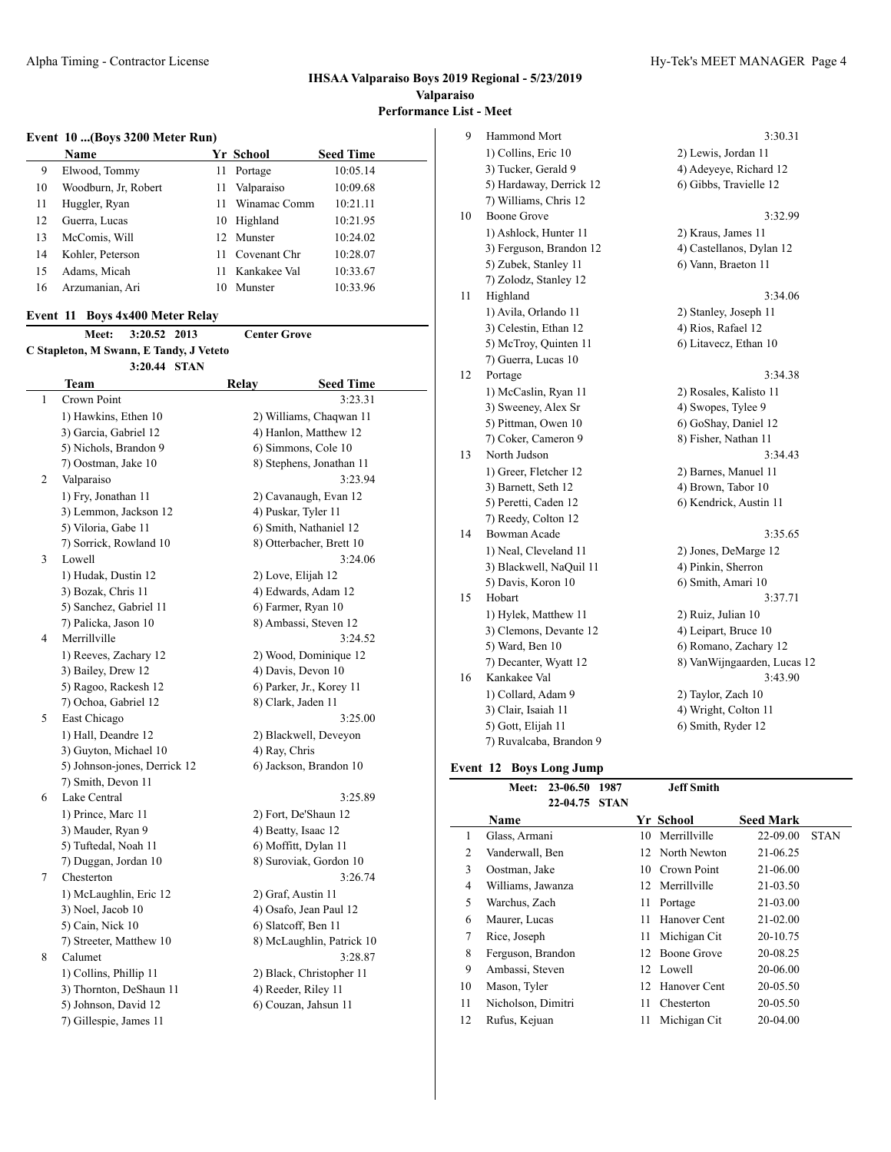### **Event 10 ...(Boys 3200 Meter Run)**

|    | <b>Name</b>          |     | Yr School    | <b>Seed Time</b> |
|----|----------------------|-----|--------------|------------------|
| 9  | Elwood, Tommy        | 11  | Portage      | 10:05.14         |
| 10 | Woodburn, Jr. Robert | 11  | Valparaiso   | 10:09.68         |
| 11 | Huggler, Ryan        | 11  | Winamac Comm | 10:21.11         |
| 12 | Guerra, Lucas        |     | 10 Highland  | 10:21.95         |
| 13 | McComis, Will        | 12. | Munster      | 10:24.02         |
| 14 | Kohler, Peterson     | 11  | Covenant Chr | 10:28.07         |
| 15 | Adams, Micah         | 11  | Kankakee Val | 10:33.67         |
| 16 | Arzumanian, Ari      | 10  | Munster      | 10:33.96         |

# **Event 11 Boys 4x400 Meter Relay**

|                                         | Meet: 3:20.52 2013 |  | <b>Center Grove</b> |
|-----------------------------------------|--------------------|--|---------------------|
| C Stapleton, M Swann, E Tandy, J Veteto |                    |  |                     |
|                                         | 3:20.44 STAN       |  |                     |

|   | Team                         | Relay<br><b>Seed Time</b> |  |
|---|------------------------------|---------------------------|--|
| 1 | Crown Point                  | 3:23.31                   |  |
|   | 1) Hawkins, Ethen 10         | 2) Williams, Chaqwan 11   |  |
|   | 3) Garcia, Gabriel 12        | 4) Hanlon, Matthew 12     |  |
|   | 5) Nichols, Brandon 9        | 6) Simmons, Cole 10       |  |
|   | 7) Oostman, Jake 10          | 8) Stephens, Jonathan 11  |  |
| 2 | Valparaiso                   | 3:23.94                   |  |
|   | 1) Fry, Jonathan 11          | 2) Cavanaugh, Evan 12     |  |
|   | 3) Lemmon, Jackson 12        | 4) Puskar, Tyler 11       |  |
|   | 5) Viloria, Gabe 11          | 6) Smith, Nathaniel 12    |  |
|   | 7) Sorrick, Rowland 10       | 8) Otterbacher, Brett 10  |  |
| 3 | Lowell                       | 3:24.06                   |  |
|   | 1) Hudak, Dustin 12          | 2) Love, Elijah 12        |  |
|   | 3) Bozak, Chris 11           | 4) Edwards, Adam 12       |  |
|   | 5) Sanchez, Gabriel 11       | 6) Farmer, Ryan 10        |  |
|   | 7) Palicka, Jason 10         | 8) Ambassi, Steven 12     |  |
| 4 | Merrillville                 | 3:24.52                   |  |
|   | 1) Reeves, Zachary 12        | 2) Wood, Dominique 12     |  |
|   | 3) Bailey, Drew 12           | 4) Davis, Devon 10        |  |
|   | 5) Ragoo, Rackesh 12         | 6) Parker, Jr., Korey 11  |  |
|   | 7) Ochoa, Gabriel 12         | 8) Clark, Jaden 11        |  |
| 5 | East Chicago                 | 3:25.00                   |  |
|   | 1) Hall, Deandre 12          | 2) Blackwell, Deveyon     |  |
|   | 3) Guyton, Michael 10        | 4) Ray, Chris             |  |
|   | 5) Johnson-jones, Derrick 12 | 6) Jackson, Brandon 10    |  |
|   | 7) Smith, Devon 11           |                           |  |
| 6 | Lake Central                 | 3:25.89                   |  |
|   | 1) Prince, Marc 11           | 2) Fort, De'Shaun 12      |  |
|   | 3) Mauder, Ryan 9            | 4) Beatty, Isaac 12       |  |
|   | 5) Tuftedal, Noah 11         | 6) Moffitt, Dylan 11      |  |
|   | 7) Duggan, Jordan 10         | 8) Suroviak, Gordon 10    |  |
| 7 | Chesterton                   | 3:26.74                   |  |
|   | 1) McLaughlin, Eric 12       | 2) Graf, Austin 11        |  |
|   | 3) Noel, Jacob 10            | 4) Osafo, Jean Paul 12    |  |
|   | 5) Cain, Nick 10             | 6) Slatcoff, Ben 11       |  |
|   | 7) Streeter, Matthew 10      | 8) McLaughlin, Patrick 10 |  |
| 8 | Calumet                      | 3:28.87                   |  |
|   | 1) Collins, Phillip 11       | 2) Black, Christopher 11  |  |
|   | 3) Thornton, DeShaun 11      | 4) Reeder, Riley 11       |  |
|   | 5) Johnson, David 12         | 6) Couzan, Jahsun 11      |  |
|   | 7) Gillespie, James 11       |                           |  |

| Hammond Mort            | 3:30.31                                                              |
|-------------------------|----------------------------------------------------------------------|
| 1) Collins, Eric 10     | 2) Lewis, Jordan 11                                                  |
| 3) Tucker, Gerald 9     | 4) Adeyeye, Richard 12                                               |
| 5) Hardaway, Derrick 12 | 6) Gibbs, Travielle 12                                               |
|                         |                                                                      |
| Boone Grove             | 3:32.99                                                              |
| 1) Ashlock, Hunter 11   | 2) Kraus, James 11                                                   |
| 3) Ferguson, Brandon 12 | 4) Castellanos, Dylan 12                                             |
| 5) Zubek, Stanley 11    | 6) Vann, Braeton 11                                                  |
| 7) Zolodz, Stanley 12   |                                                                      |
| Highland                | 3:34.06                                                              |
|                         | 2) Stanley, Joseph 11                                                |
| 3) Celestin, Ethan 12   | 4) Rios, Rafael 12                                                   |
| 5) McTroy, Quinten 11   | 6) Litavecz, Ethan 10                                                |
|                         |                                                                      |
| Portage                 | 3:34.38                                                              |
| 1) McCaslin, Ryan 11    | 2) Rosales, Kalisto 11                                               |
| 3) Sweeney, Alex Sr     | 4) Swopes, Tylee 9                                                   |
| 5) Pittman, Owen 10     | 6) GoShay, Daniel 12                                                 |
| 7) Coker, Cameron 9     | 8) Fisher, Nathan 11                                                 |
| North Judson            | 3:34.43                                                              |
| 1) Greer, Fletcher 12   | 2) Barnes, Manuel 11                                                 |
| 3) Barnett, Seth 12     | 4) Brown, Tabor 10                                                   |
| 5) Peretti, Caden 12    | 6) Kendrick, Austin 11                                               |
| 7) Reedy, Colton 12     |                                                                      |
| Bowman Acade            | 3:35.65                                                              |
| 1) Neal, Cleveland 11   | 2) Jones, DeMarge 12                                                 |
| 3) Blackwell, NaQuil 11 | 4) Pinkin, Sherron                                                   |
| 5) Davis, Koron 10      | 6) Smith, Amari 10                                                   |
| Hobart                  | 3:37.71                                                              |
| 1) Hylek, Matthew 11    | 2) Ruiz, Julian 10                                                   |
| 3) Clemons, Devante 12  | 4) Leipart, Bruce 10                                                 |
| 5) Ward, Ben 10         | 6) Romano, Zachary 12                                                |
| 7) Decanter, Wyatt 12   | 8) VanWijngaarden, Lucas 12                                          |
| Kankakee Val            | 3:43.90                                                              |
| 1) Collard, Adam 9      | 2) Taylor, Zach 10                                                   |
| 3) Clair, Isaiah 11     | 4) Wright, Colton 11                                                 |
| 5) Gott, Elijah 11      | 6) Smith, Ryder 12                                                   |
| 7) Ruvalcaba, Brandon 9 |                                                                      |
|                         | 7) Williams, Chris 12<br>1) Avila, Orlando 11<br>7) Guerra, Lucas 10 |

# **Event 12 Boys Long Jump**

|    | Meet:              | 23-06.50 | 1987        |    | <b>Jeff Smith</b> |                  |             |
|----|--------------------|----------|-------------|----|-------------------|------------------|-------------|
|    |                    | 22-04.75 | <b>STAN</b> |    |                   |                  |             |
|    | Name               |          |             |    | Yr School         | <b>Seed Mark</b> |             |
| 1  | Glass, Armani      |          |             | 10 | Merrillville      | 22-09.00         | <b>STAN</b> |
| 2  | Vanderwall, Ben    |          |             |    | 12 North Newton   | 21-06.25         |             |
| 3  | Oostman, Jake      |          |             | 10 | Crown Point       | 21-06.00         |             |
| 4  | Williams, Jawanza  |          |             |    | 12 Merrillville   | 21-03.50         |             |
| 5  | Warchus, Zach      |          |             | 11 | Portage           | 21-03.00         |             |
| 6  | Maurer, Lucas      |          |             | 11 | Hanover Cent      | $21 - 02.00$     |             |
| 7  | Rice, Joseph       |          |             | 11 | Michigan Cit      | 20-10.75         |             |
| 8  | Ferguson, Brandon  |          |             | 12 | Boone Grove       | 20-08.25         |             |
| 9  | Ambassi, Steven    |          |             |    | 12 Lowell         | 20-06.00         |             |
| 10 | Mason, Tyler       |          |             | 12 | Hanover Cent      | 20-05.50         |             |
| 11 | Nicholson, Dimitri |          |             | 11 | Chesterton        | 20-05.50         |             |
| 12 | Rufus, Kejuan      |          |             | 11 | Michigan Cit      | 20-04.00         |             |